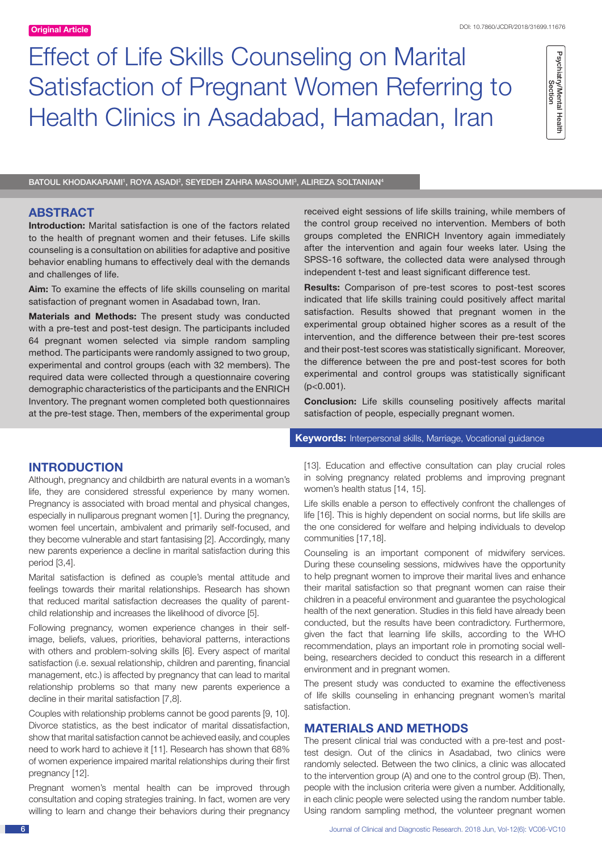# Effect of Life Skills Counseling on Marital Satisfaction of Pregnant Women Referring to Health Clinics in Asadabad, Hamadan, Iran

Psychiatry/Mental Health<br>Section Psychiatry/Mental Health<br>Section

BATOUL KHODAKARAMI<sup>1</sup>, ROYA ASADI<sup>2</sup>, SEYEDEH ZAHRA MASOUMI<sup>3</sup>, ALIREZA SOLTANIAN<sup>4</sup>

# **ABSTRACT**

**Introduction:** Marital satisfaction is one of the factors related to the health of pregnant women and their fetuses. Life skills counseling is a consultation on abilities for adaptive and positive behavior enabling humans to effectively deal with the demands and challenges of life.

**Aim:** To examine the effects of life skills counseling on marital satisfaction of pregnant women in Asadabad town, Iran.

**Materials and Methods:** The present study was conducted with a pre-test and post-test design. The participants included 64 pregnant women selected via simple random sampling method. The participants were randomly assigned to two group, experimental and control groups (each with 32 members). The required data were collected through a questionnaire covering demographic characteristics of the participants and the ENRICH Inventory. The pregnant women completed both questionnaires at the pre-test stage. Then, members of the experimental group received eight sessions of life skills training, while members of the control group received no intervention. Members of both groups completed the ENRICH Inventory again immediately after the intervention and again four weeks later. Using the SPSS-16 software, the collected data were analysed through independent t-test and least significant difference test.

**Results:** Comparison of pre-test scores to post-test scores indicated that life skills training could positively affect marital satisfaction. Results showed that pregnant women in the experimental group obtained higher scores as a result of the intervention, and the difference between their pre-test scores and their post-test scores was statistically significant. Moreover, the difference between the pre and post-test scores for both experimental and control groups was statistically significant  $(p<0.001)$ .

**Conclusion:** Life skills counseling positively affects marital satisfaction of people, especially pregnant women.

# **INTRODUCTION**

Although, pregnancy and childbirth are natural events in a woman's life, they are considered stressful experience by many women. Pregnancy is associated with broad mental and physical changes, especially in nulliparous pregnant women [1]. During the pregnancy, women feel uncertain, ambivalent and primarily self-focused, and they become vulnerable and start fantasising [2]. Accordingly, many new parents experience a decline in marital satisfaction during this period [3,4].

Marital satisfaction is defined as couple's mental attitude and feelings towards their marital relationships. Research has shown that reduced marital satisfaction decreases the quality of parentchild relationship and increases the likelihood of divorce [5].

Following pregnancy, women experience changes in their selfimage, beliefs, values, priorities, behavioral patterns, interactions with others and problem-solving skills [6]. Every aspect of marital satisfaction (i.e. sexual relationship, children and parenting, financial management, etc.) is affected by pregnancy that can lead to marital relationship problems so that many new parents experience a decline in their marital satisfaction [7,8].

Couples with relationship problems cannot be good parents [9, 10]. Divorce statistics, as the best indicator of marital dissatisfaction, show that marital satisfaction cannot be achieved easily, and couples need to work hard to achieve it [11]. Research has shown that 68% of women experience impaired marital relationships during their first pregnancy [12].

Pregnant women's mental health can be improved through consultation and coping strategies training. In fact, women are very willing to learn and change their behaviors during their pregnancy

## **Keywords:** Interpersonal skills, Marriage, Vocational guidance

[13]. Education and effective consultation can play crucial roles in solving pregnancy related problems and improving pregnant women's health status [14, 15].

Life skills enable a person to effectively confront the challenges of life [16]. This is highly dependent on social norms, but life skills are the one considered for welfare and helping individuals to develop communities [17,18].

Counseling is an important component of midwifery services. During these counseling sessions, midwives have the opportunity to help pregnant women to improve their marital lives and enhance their marital satisfaction so that pregnant women can raise their children in a peaceful environment and guarantee the psychological health of the next generation. Studies in this field have already been conducted, but the results have been contradictory. Furthermore, given the fact that learning life skills, according to the WHO recommendation, plays an important role in promoting social wellbeing, researchers decided to conduct this research in a different environment and in pregnant women.

The present study was conducted to examine the effectiveness of life skills counseling in enhancing pregnant women's marital satisfaction.

# **MATERIALS AND METHODS**

The present clinical trial was conducted with a pre-test and posttest design. Out of the clinics in Asadabad, two clinics were randomly selected. Between the two clinics, a clinic was allocated to the intervention group (A) and one to the control group (B). Then, people with the inclusion criteria were given a number. Additionally, in each clinic people were selected using the random number table. Using random sampling method, the volunteer pregnant women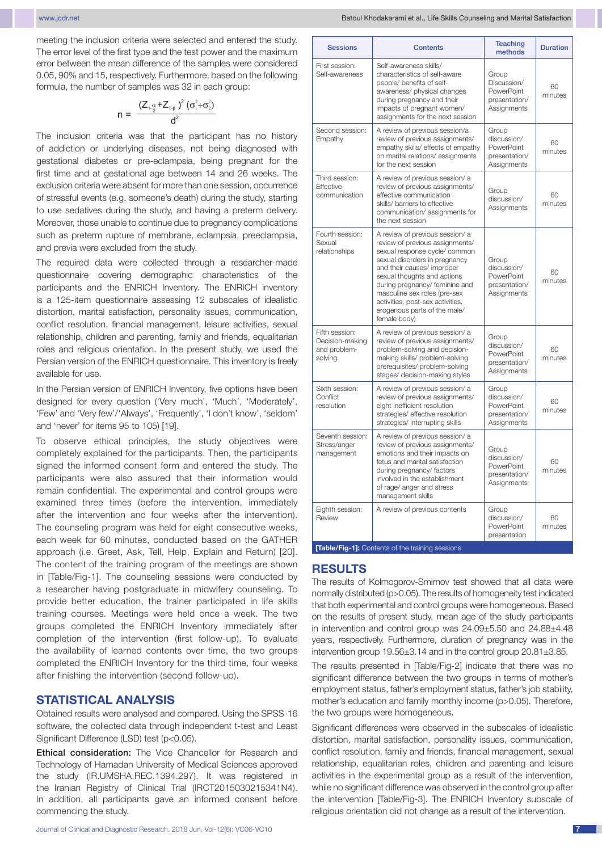meeting the inclusion criteria were selected and entered the study. The error level of the first type and the test power and the maximum error between the mean difference of the samples were considered 0.05, 90% and 15, respectively. Furthermore, based on the following formula, the number of samples was 32 in each group:

$$
n = \frac{(Z_{1\cdot\frac{\alpha}{2}} + Z_{1\cdot\beta})^2 (\sigma_1^2 + \sigma_2^2)}{d^2}
$$

The inclusion criteria was that the participant has no history of addiction or underlying diseases, not being diagnosed with gestational diabetes or pre-eclampsia, being pregnant for the first time and at gestational age between 14 and 26 weeks. The exclusion criteria were absent for more than one session, occurrence of stressful events (e.g. someone's death) during the study, starting to use sedatives during the study, and having a preterm delivery. Moreover, those unable to continue due to pregnancy complications such as preterm rupture of membrane, eclampsia, preeclampsia, and previa were excluded from the study.

The required data were collected through a researcher-made questionnaire covering demographic characteristics of the participants and the ENRICH Inventory. The ENRICH inventory is a 125-item questionnaire assessing 12 subscales of idealistic distortion, marital satisfaction, personality issues, communication, conflict resolution, financial management, leisure activities, sexual relationship, children and parenting, family and friends, equalitarian roles and religious orientation. In the present study, we used the Persian version of the ENRICH questionnaire. This inventory is freely available for use.

In the Persian version of ENRICH Inventory, five options have been designed for every question ('Very much', 'Much', 'Moderately', 'Few' and 'Very few'/'Always', 'Frequently', 'I don't know', 'seldom' and 'never' for items 95 to 105) [19].

To observe ethical principles, the study objectives were completely explained for the participants. Then, the participants signed the informed consent form and entered the study. The participants were also assured that their information would remain confidential. The experimental and control groups were examined three times (before the intervention, immediately after the intervention and four weeks after the intervention). The counseling program was held for eight consecutive weeks, each week for 60 minutes, conducted based on the GATHER approach (i.e. Greet, Ask, Tell, Help, Explain and Return) [20]. The content of the training program of the meetings are shown in [Table/Fig-1]. The counseling sessions were conducted by a researcher having postgraduate in midwifery counseling. To provide better education, the trainer participated in life skills training courses. Meetings were held once a week. The two groups completed the ENRICH Inventory immediately after completion of the intervention (first follow-up). To evaluate the availability of learned contents over time, the two groups completed the ENRICH Inventory for the third time, four weeks after finishing the intervention (second follow-up).

## **Statistical Analysis**

Obtained results were analysed and compared. Using the SPSS-16 software, the collected data through independent t-test and Least Significant Difference (LSD) test (p<0.05).

Ethical consideration: The Vice Chancellor for Research and Technology of Hamadan University of Medical Sciences approved the study (IR.UMSHA.REC.1394.297). It was registered in the Iranian Registry of Clinical Trial (IRCT2015030215341N4). In addition, all participants gave an informed consent before commencing the study.

| <b>Sessions</b>                                              | <b>Contents</b>                                                                                                                                                                                                                                                                                                                                         | <b>Teaching</b><br>methods                                         | <b>Duration</b> |
|--------------------------------------------------------------|---------------------------------------------------------------------------------------------------------------------------------------------------------------------------------------------------------------------------------------------------------------------------------------------------------------------------------------------------------|--------------------------------------------------------------------|-----------------|
| First session:<br>Self-awareness                             | Self-awareness skills/<br>characteristics of self-aware<br>people/ benefits of self-<br>awareness/ physical changes<br>during pregnancy and their<br>impacts of pregnant women/<br>assignments for the next session                                                                                                                                     | Group<br>Discussion/<br>PowerPoint<br>presentation/<br>Assignments | 60<br>minutes   |
| Second session:<br>Empathy                                   | A review of previous session/a<br>review of previous assignments/<br>empathy skills/ effects of empathy<br>on marital relations/assignments<br>for the next session                                                                                                                                                                                     | Group<br>discussion/<br>PowerPoint<br>presentation/<br>Assignments | 60<br>minutes   |
| Third session:<br>Effective<br>communication                 | A review of previous session/ a<br>review of previous assignments/<br>effective communication<br>skills/ barriers to effective<br>communication/assignments for<br>the next session                                                                                                                                                                     | Group<br>discussion/<br>Assignments                                | 60<br>minutes   |
| Fourth session:<br>Sexual<br>relationships                   | A review of previous session/ a<br>review of previous assignments/<br>sexual response cycle/ common<br>sexual disorders in pregnancy<br>and their causes/ improper<br>sexual thoughts and actions<br>during pregnancy/ feminine and<br>masculine sex roles (pre-sex<br>activities, post-sex activities,<br>erogenous parts of the male/<br>female body) | Group<br>discussion/<br>PowerPoint<br>presentation/<br>Assignments | 60<br>minutes   |
| Fifth session:<br>Decision-making<br>and problem-<br>solving | A review of previous session/ a<br>review of previous assignments/<br>problem-solving and decision-<br>making skills/ problem-solving<br>prerequisites/ problem-solving<br>stages/ decision-making styles                                                                                                                                               | Group<br>discussion/<br>PowerPoint<br>presentation/<br>Assignments | 60<br>minutes   |
| Sixth session:<br>Conflict<br>resolution                     | A review of previous session/ a<br>review of previous assignments/<br>eight inefficient resolution<br>strategies/ effective resolution<br>strategies/ interrupting skills                                                                                                                                                                               | Group<br>discussion/<br>PowerPoint<br>presentation/<br>Assignments | 60<br>minutes   |
| Seventh session:<br>Stress/anger<br>management               | A review of previous session/ a<br>review of previous assignments/<br>emotions and their impacts on<br>fetus and marital satisfaction<br>during pregnancy/ factors<br>involved in the establishment<br>of rage/ anger and stress<br>management skills                                                                                                   | Group<br>discussion/<br>PowerPoint<br>presentation/<br>Assignments | 60<br>minutes   |
| Eighth session:<br>Review                                    | A review of previous contents                                                                                                                                                                                                                                                                                                                           | Group<br>discussion/<br>PowerPoint<br>presentation                 | 60<br>minutes   |

**[Table/Fig-1]:** Contents of the training sessions.

# **RESULTS**

The results of Kolmogorov-Smirnov test showed that all data were normally distributed (p>0.05). The results of homogeneity test indicated that both experimental and control groups were homogeneous. Based on the results of present study, mean age of the study participants in intervention and control group was 24.09±5.50 and 24.88±4.48 years, respectively. Furthermore, duration of pregnancy was in the intervention group 19.56±3.14 and in the control group 20.81±3.85.

The results presented in [Table/Fig-2] indicate that there was no significant difference between the two groups in terms of mother's employment status, father's employment status, father's job stability, mother's education and family monthly income (p>0.05). Therefore, the two groups were homogeneous.

Significant differences were observed in the subscales of idealistic distortion, marital satisfaction, personality issues, communication, conflict resolution, family and friends, financial management, sexual relationship, equalitarian roles, children and parenting and leisure activities in the experimental group as a result of the intervention, while no significant difference was observed in the control group after the intervention [Table/Fig-3]. The ENRICH Inventory subscale of religious orientation did not change as a result of the intervention.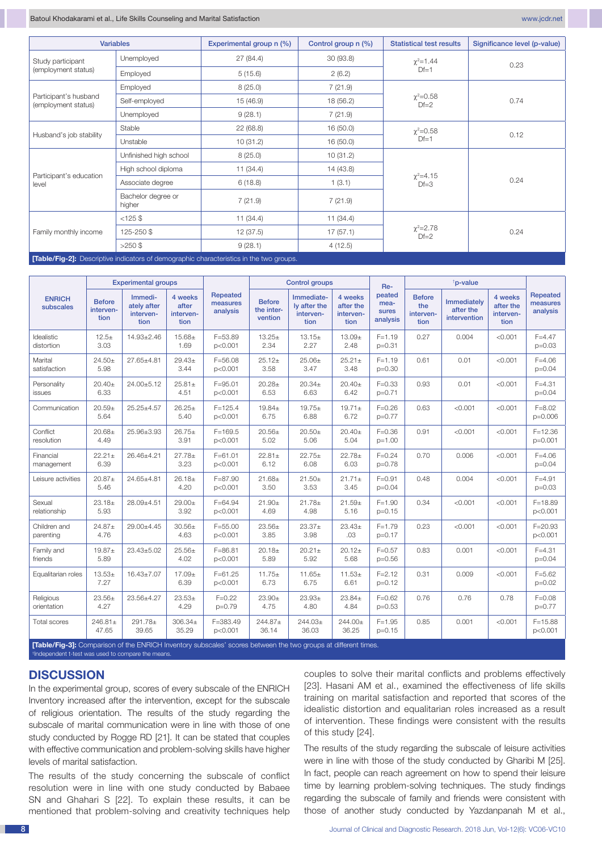| <b>Variables</b>                                                                        |                              | Experimental group n (%) | Control group n (%)                   | <b>Statistical test results</b> | Significance level (p-value) |  |  |
|-----------------------------------------------------------------------------------------|------------------------------|--------------------------|---------------------------------------|---------------------------------|------------------------------|--|--|
| Study participant                                                                       | Unemployed                   | 27(84.4)                 | 30(93.8)                              | $\chi^2$ =1.44                  | 0.23                         |  |  |
| (employment status)                                                                     | Employed                     | 5(15.6)                  | 2(6.2)                                | $Df=1$                          |                              |  |  |
| Participant's husband<br>(employment status)                                            | Employed                     | 8(25.0)                  | 7(21.9)                               |                                 | 0.74                         |  |  |
|                                                                                         | Self-employed                | 15(46.9)                 | 18 (56.2)                             | $\chi^2 = 0.58$<br>$Df=2$       |                              |  |  |
|                                                                                         | Unemployed                   | 9(28.1)                  | 7(21.9)                               |                                 |                              |  |  |
| Husband's job stability                                                                 | Stable                       | 22(68.8)                 | 16(50.0)                              | $\chi^2 = 0.58$                 | 0.12                         |  |  |
|                                                                                         | Unstable                     | 10(31.2)                 | 16(50.0)                              | $Df=1$                          |                              |  |  |
| Participant's education<br>level                                                        | Unfinished high school       | 8(25.0)                  | 10(31.2)                              |                                 | 0.24                         |  |  |
|                                                                                         | High school diploma          | 11(34.4)                 | 14 (43.8)                             | $\chi^2 = 4.15$                 |                              |  |  |
|                                                                                         | Associate degree             | 6(18.8)                  | 1(3.1)                                | $Df=3$                          |                              |  |  |
|                                                                                         | Bachelor degree or<br>higher | 7(21.9)                  | 7(21.9)                               |                                 |                              |  |  |
| Family monthly income                                                                   | $<125$ \$                    | 11(34.4)                 | 11(34.4)                              |                                 |                              |  |  |
|                                                                                         | 125-250\$                    | 12(37.5)                 | $\chi^2 = 2.78$<br>17(57.1)<br>$Df=2$ |                                 | 0.24                         |  |  |
|                                                                                         | $>250$ \$                    | 9(28.1)                  | 4(12.5)                               |                                 |                              |  |  |
| [Table/Fig-2]: Descriptive indicators of demographic characteristics in the two groups. |                              |                          |                                       |                                 |                              |  |  |

| <b>Repeated</b><br>peated<br>4 weeks<br>Immediate-<br>Immedi-<br>4 weeks<br><b>Before</b><br>4 weeks<br><b>ENRICH</b><br><b>Before</b><br>Immediately<br><b>Before</b><br>measures<br>mea-<br>ately after<br>after<br>Iv after the<br>the<br>after the<br>after the<br>subscales<br>the inter-<br>after the<br>interven-<br>analysis<br>sures<br>interven-<br>interven-<br>interven-<br>interven-<br>interven-<br>interven-<br>vention<br>intervention<br>tion<br>analysis<br>tion<br>tion<br>tion<br>tion<br>tion<br>tion<br>$F = 53.89$<br>Idealistic<br>$12.5+$<br>$14.93 \pm 2.46$<br>$15.68 +$<br>$13.25+$<br>$13.15+$<br>$13.09 +$<br>$F = 1.19$<br>0.27<br>0.004<br>< 0.001<br>2.34<br>2.27<br>distortion<br>3.03<br>1.69<br>p<0.001<br>2.48<br>$p = 0.31$<br>Marital<br>$29.43 \pm$<br>$F = 56.08$<br>$25.06\pm$<br>$25.21 \pm$<br>0.61<br>0.01<br>< 0.001<br>$24.50+$<br>27.65±4.81<br>$25.12+$<br>$F = 1.19$<br>3.44<br>p<0.001<br>3.58<br>3.47<br>3.48<br>satisfaction<br>5.98<br>$p=0.30$<br>24.00±5.12<br>$25.81 \pm$<br>$F = 95.01$<br>$20.28 +$<br>$20.34 \pm$<br>$F = 0.33$<br>0.93<br>0.01<br>< 0.001<br>Personality<br>$20.40 \pm$<br>$20.40+$<br>6.33<br>6.53<br>6.63<br>6.42<br>4.51<br>p<0.001<br>$p=0.71$<br>issues<br>$25.25 \pm 4.57$ | <b>Experimental groups</b> |          |          |             | <b>Control groups</b> |          | Re-         | <sup>†</sup> p-value |      |         |         |                                         |
|---------------------------------------------------------------------------------------------------------------------------------------------------------------------------------------------------------------------------------------------------------------------------------------------------------------------------------------------------------------------------------------------------------------------------------------------------------------------------------------------------------------------------------------------------------------------------------------------------------------------------------------------------------------------------------------------------------------------------------------------------------------------------------------------------------------------------------------------------------------------------------------------------------------------------------------------------------------------------------------------------------------------------------------------------------------------------------------------------------------------------------------------------------------------------------------------------------------------------------------------------------------|----------------------------|----------|----------|-------------|-----------------------|----------|-------------|----------------------|------|---------|---------|-----------------------------------------|
|                                                                                                                                                                                                                                                                                                                                                                                                                                                                                                                                                                                                                                                                                                                                                                                                                                                                                                                                                                                                                                                                                                                                                                                                                                                               |                            |          |          |             |                       |          |             |                      |      |         |         | <b>Repeated</b><br>measures<br>analysis |
|                                                                                                                                                                                                                                                                                                                                                                                                                                                                                                                                                                                                                                                                                                                                                                                                                                                                                                                                                                                                                                                                                                                                                                                                                                                               |                            |          |          |             |                       |          |             |                      |      |         |         | $F = 4.47$<br>$p=0.03$                  |
|                                                                                                                                                                                                                                                                                                                                                                                                                                                                                                                                                                                                                                                                                                                                                                                                                                                                                                                                                                                                                                                                                                                                                                                                                                                               |                            |          |          |             |                       |          |             |                      |      |         |         | $F = 4.06$<br>$p = 0.04$                |
|                                                                                                                                                                                                                                                                                                                                                                                                                                                                                                                                                                                                                                                                                                                                                                                                                                                                                                                                                                                                                                                                                                                                                                                                                                                               |                            |          |          |             |                       |          |             |                      |      |         |         | $F = 4.31$<br>$p=0.04$                  |
| 6.75<br>6.88<br>6.72<br>5.64<br>5.40<br>p<0.001<br>$p=0.77$                                                                                                                                                                                                                                                                                                                                                                                                                                                                                                                                                                                                                                                                                                                                                                                                                                                                                                                                                                                                                                                                                                                                                                                                   | Communication              | $20.59+$ | $26.25+$ | $F = 125.4$ | $19.84 \pm$           | $19.75+$ | $19.71 \pm$ | $F = 0.26$           | 0.63 | < 0.001 | < 0.001 | $F = 8.02$<br>p=0.006                   |
| $F = 0.36$<br>Conflict<br>$20.68+$<br>25.96±3.93<br>$26.75+$<br>$F = 169.5$<br>$20.56+$<br>$20.50+$<br>$20.40+$<br>0.91<br>< 0.001<br>< 0.001<br>5.04<br>resolution<br>4.49<br>3.91<br>p<0.001<br>5.02<br>5.06<br>$p=1.00$                                                                                                                                                                                                                                                                                                                                                                                                                                                                                                                                                                                                                                                                                                                                                                                                                                                                                                                                                                                                                                    |                            |          |          |             |                       |          |             |                      |      |         |         | $F = 12.36$<br>$p=0.001$                |
| $F = 61.01$<br>$22.75+$<br>$22.78+$<br>$F = 0.24$<br>0.70<br>0.006<br>< 0.001<br>Financial<br>$22.21 \pm$<br>26.46±4.21<br>$27.78 +$<br>$22.81 \pm$<br>6.39<br>3.23<br>6.12<br>6.08<br>6.03<br>p<0.001<br>$p=0.78$<br>management                                                                                                                                                                                                                                                                                                                                                                                                                                                                                                                                                                                                                                                                                                                                                                                                                                                                                                                                                                                                                              |                            |          |          |             |                       |          |             |                      |      |         |         | $F = 4.06$<br>$p = 0.04$                |
| $26.18+$<br>< 0.001<br>$20.87 +$<br>24.65±4.81<br>$F = 87.90$<br>$21.68 +$<br>$21.50+$<br>$21.71+$<br>$F = 0.91$<br>0.48<br>0.004<br>Leisure activities<br>4.20<br>3.50<br>3.53<br>3.45<br>5.46<br>p<0.001<br>$p=0.04$                                                                                                                                                                                                                                                                                                                                                                                                                                                                                                                                                                                                                                                                                                                                                                                                                                                                                                                                                                                                                                        |                            |          |          |             |                       |          |             |                      |      |         |         | $F = 4.91$<br>$p=0.03$                  |
| 28.09±4.51<br>0.34<br>< 0.001<br>Sexual<br>$23.18+$<br>$29.00+$<br>$F = 64.94$<br>$21.90+$<br>$21.78 +$<br>$21.59+$<br>$F = 1.90$<br>< 0.001<br>5.93<br>3.92<br>4.69<br>4.98<br>5.16<br>$p=0.15$<br>relationship<br>p<0.001                                                                                                                                                                                                                                                                                                                                                                                                                                                                                                                                                                                                                                                                                                                                                                                                                                                                                                                                                                                                                                   |                            |          |          |             |                       |          |             |                      |      |         |         | $F = 18.89$<br>p<0.001                  |
| 0.23<br>< 0.001<br>Children and<br>29.00±4.45<br>$30.56 \pm$<br>$F = 55.00$<br>$23.37+$<br>$23.43+$<br>$F = 1.79$<br>< 0.001<br>$24.87 +$<br>$23.56 \pm$<br>3.98<br>4.76<br>4.63<br>p<0.001<br>3.85<br>.03<br>$p=0.17$<br>parenting                                                                                                                                                                                                                                                                                                                                                                                                                                                                                                                                                                                                                                                                                                                                                                                                                                                                                                                                                                                                                           |                            |          |          |             |                       |          |             |                      |      |         |         | $F = 20.93$<br>p<0.001                  |
| Family and<br>$23.43 \pm 5.02$<br>$25.56+$<br>$F = 86.81$<br>$20.21 \pm$<br>$20.12+$<br>$F = 0.57$<br>0.83<br>0.001<br>< 0.001<br>$19.87 +$<br>$20.18+$<br>friends<br>5.89<br>4.02<br>5.89<br>5.92<br>5.68<br>$p=0.56$<br>p<0.001                                                                                                                                                                                                                                                                                                                                                                                                                                                                                                                                                                                                                                                                                                                                                                                                                                                                                                                                                                                                                             |                            |          |          |             |                       |          |             |                      |      |         |         | $F = 4.31$<br>$p=0.04$                  |
| $16.43 \pm 7.07$<br>$17.09 +$<br>$F = 61.25$<br>$11.65+$<br>$11.53+$<br>$F = 2.12$<br>0.31<br>0.009<br>< 0.001<br>Equalitarian roles<br>$13.53+$<br>$11.75+$<br>7.27<br>6.39<br>6.73<br>6.75<br>6.61<br>p<0.001<br>$p=0.12$                                                                                                                                                                                                                                                                                                                                                                                                                                                                                                                                                                                                                                                                                                                                                                                                                                                                                                                                                                                                                                   |                            |          |          |             |                       |          |             |                      |      |         |         | $F = 5.62$<br>$p=0.02$                  |
| $23.53+$<br>$F = 0.22$<br>$23.93+$<br>$F = 0.62$<br>0.76<br>0.78<br>Religious<br>$23.56 \pm$<br>23.56±4.27<br>$23.90+$<br>$23.84 \pm$<br>0.76<br>4.29<br>$p=0.79$<br>4.75<br>4.80<br>4.84<br>orientation<br>4.27<br>$p=0.53$                                                                                                                                                                                                                                                                                                                                                                                                                                                                                                                                                                                                                                                                                                                                                                                                                                                                                                                                                                                                                                  |                            |          |          |             |                       |          |             |                      |      |         |         | $F = 0.08$<br>$p=0.77$                  |
| 306.34±<br>F=383.49<br>244.87±<br>$F = 1.95$<br>0.85<br>0.001<br>< 0.001<br><b>Total scores</b><br>$246.81 \pm$<br>291.78±<br>$244.03+$<br>244.00±<br>36.14<br>36.03<br>36.25<br>47.65<br>39.65<br>35.29<br>p<0.001<br>$p=0.15$<br>Teble (Fig. 2): Comparison of the ENDICH Inventor (auboogles' coorder                                                                                                                                                                                                                                                                                                                                                                                                                                                                                                                                                                                                                                                                                                                                                                                                                                                                                                                                                      |                            |          |          |             |                       |          |             |                      |      |         |         | $F = 15.88$<br>p<0.001                  |

**[Table/Fig-3]:** Comparison of the ENRICH Inventory subscales' scores between the two groups at different times.<br>†Independent t-test was used to compare the means.

# **DISCUSSION**

In the experimental group, scores of every subscale of the ENRICH Inventory increased after the intervention, except for the subscale of religious orientation. The results of the study regarding the subscale of marital communication were in line with those of one study conducted by Rogge RD [21]. It can be stated that couples with effective communication and problem-solving skills have higher levels of marital satisfaction.

The results of the study concerning the subscale of conflict resolution were in line with one study conducted by Babaee SN and Ghahari S [22]. To explain these results, it can be mentioned that problem-solving and creativity techniques help

couples to solve their marital conflicts and problems effectively [23]. Hasani AM et al., examined the effectiveness of life skills training on marital satisfaction and reported that scores of the idealistic distortion and equalitarian roles increased as a result of intervention. These findings were consistent with the results of this study [24].

The results of the study regarding the subscale of leisure activities were in line with those of the study conducted by Gharibi M [25]. In fact, people can reach agreement on how to spend their leisure time by learning problem-solving techniques. The study findings regarding the subscale of family and friends were consistent with those of another study conducted by Yazdanpanah M et al.,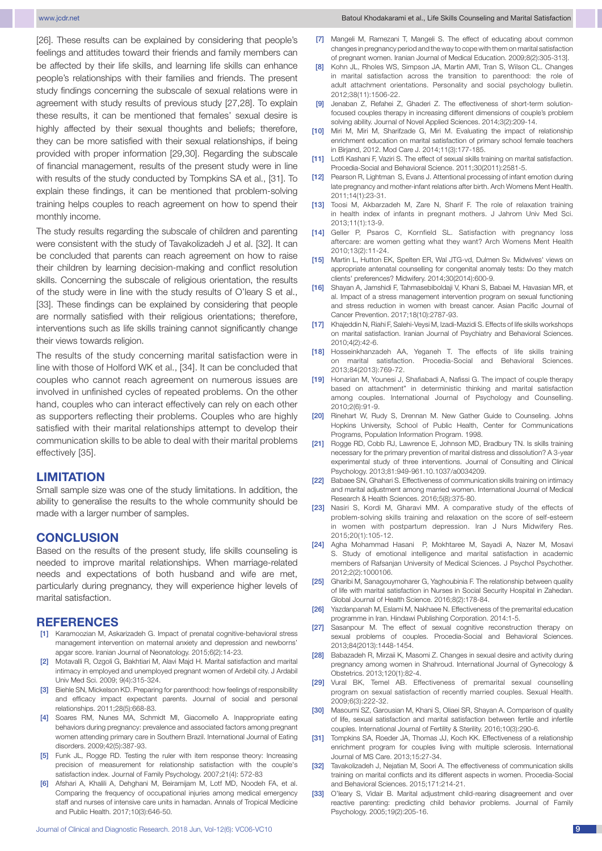[26]. These results can be explained by considering that people's feelings and attitudes toward their friends and family members can be affected by their life skills, and learning life skills can enhance people's relationships with their families and friends. The present study findings concerning the subscale of sexual relations were in agreement with study results of previous study [27,28]. To explain these results, it can be mentioned that females' sexual desire is highly affected by their sexual thoughts and beliefs; therefore, they can be more satisfied with their sexual relationships, if being provided with proper information [29,30]. Regarding the subscale of financial management, results of the present study were in line with results of the study conducted by Tompkins SA et al., [31]. To explain these findings, it can be mentioned that problem-solving training helps couples to reach agreement on how to spend their monthly income.

The study results regarding the subscale of children and parenting were consistent with the study of Tavakolizadeh J et al. [32]. It can be concluded that parents can reach agreement on how to raise their children by learning decision-making and conflict resolution skills. Concerning the subscale of religious orientation, the results of the study were in line with the study results of O'leary S et al., [33]. These findings can be explained by considering that people are normally satisfied with their religious orientations; therefore, interventions such as life skills training cannot significantly change their views towards religion.

The results of the study concerning marital satisfaction were in line with those of Holford WK et al., [34]. It can be concluded that couples who cannot reach agreement on numerous issues are involved in unfinished cycles of repeated problems. On the other hand, couples who can interact effectively can rely on each other as supporters reflecting their problems. Couples who are highly satisfied with their marital relationships attempt to develop their communication skills to be able to deal with their marital problems effectively [35].

## **LIMITATION**

Small sample size was one of the study limitations. In addition, the ability to generalise the results to the whole community should be made with a larger number of samples.

# **CONCLUSION**

Based on the results of the present study, life skills counseling is needed to improve marital relationships. When marriage-related needs and expectations of both husband and wife are met, particularly during pregnancy, they will experience higher levels of marital satisfaction.

#### **References**

- [1] Karamoozian M, Askarizadeh G. Impact of prenatal cognitive-behavioral stress management intervention on maternal anxiety and depression and newborns' apgar score. Iranian Journal of Neonatology. 2015;6(2):14-23.
- [2] Motavalli R, Ozgoli G, Bakhtiari M, Alavi Majd H. Marital satisfaction and marital intimacy in employed and unemployed pregnant women of Ardebil city. J Ardabil Univ Med Sci. 2009; 9(4):315-324.
- [3] Biehle SN, Mickelson KD. Preparing for parenthood: how feelings of responsibility and efficacy impact expectant parents. Journal of social and personal relationships. 2011;28(5):668-83.
- [4] Soares RM, Nunes MA, Schmidt MI, Giacomello A. Inappropriate eating behaviors during pregnancy: prevalence and associated factors among pregnant women attending primary care in Southern Brazil. International Journal of Eating disorders. 2009;42(5):387-93.
- [5] Funk JL, Rogge RD. Testing the ruler with item response theory: Increasing precision of measurement for relationship satisfaction with the couple's satisfaction index. Journal of Family Psychology. 2007;21(4): 572-83
- [6] Afshari A, Khalili A, Dehghani M, Beiramijam M, Lotf MD, Noodeh FA, et al. Comparing the frequency of occupational injuries among medical emergency staff and nurses of intensive care units in hamadan. Annals of Tropical Medicine and Public Health. 2017;10(3):646-50.
- [7] Mangeli M, Ramezani T, Mangeli S. The effect of educating about common changes in pregnancy period and the way to cope with them on marital satisfaction of pregnant women. Iranian Journal of Medical Education. 2009;8(2):305-313].
- [8] Kohn JL, Rholes WS, Simpson JA, Martin AMI, Tran S, Wilson CL. Changes in marital satisfaction across the transition to parenthood: the role of adult attachment orientations. Personality and social psychology bulletin. 2012;38(11):1506-22.
- [9] Jenaban Z, Refahei Z, Ghaderi Z. The effectiveness of short-term solutionfocused couples therapy in increasing different dimensions of couple's problem solving ability. Journal of Novel Applied Sciences. 2014;3(2):209-14.
- [10] Miri M, Miri M, Sharifzade G, Miri M. Evaluating the impact of relationship enrichment education on marital satisfaction of primary school female teachers in Birjand, 2012. Mod Care J. 2014;11(3):177-185.
- [11] Lotfi Kashani F, Vaziri S. The effect of sexual skills training on marital satisfaction. Procedia-Social and Behavioral Science. 2011;30(2011):2581-5.
- [12] Pearson R, Lightman S, Evans J. Attentional processing of infant emotion during late pregnancy and mother-infant relations after birth. Arch Womens Ment Health. 2011;14(1):23-31.
- [13] Toosi M, Akbarzadeh M, Zare N, Sharif F. The role of relaxation training in health index of infants in pregnant mothers. J Jahrom Univ Med Sci. 2013;11(1):13-9.
- [14] Geller P, Psaros C, Kornfield SL. Satisfaction with pregnancy loss aftercare: are women getting what they want? Arch Womens Ment Health 2010;13(2):11-24.
- [15] Martin L, Hutton EK, Spelten ER, Wal JTG-vd, Dulmen Sv. Midwives' views on appropriate antenatal counselling for congenital anomaly tests: Do they match clients' preferences? Midwifery. 2014;30(2014):600-9.
- [16] Shayan A, Jamshidi F, Tahmasebiboldaji V, Khani S, Babaei M, Havasian MR, et al. Impact of a stress management intervention program on sexual functioning and stress reduction in women with breast cancer. Asian Pacific Journal of Cancer Prevention. 2017;18(10):2787-93.
- [17] Khajeddin N, Riahi F, Salehi-Veysi M, Izadi-Mazidi S. Effects of life skills workshops on marital satisfaction. Iranian Journal of Psychiatry and Behavioral Sciences. 2010;4(2):42-6.
- [18] Hosseinkhanzadeh AA, Yeganeh T. The effects of life skills training on marital satisfaction. Procedia-Social and Behavioral Sciences. 2013;84(2013):769-72.
- [19] Honarian M, Younesi J, Shafiabadi A, Nafissi G. The impact of couple therapy based on attachment" in deterministic thinking and marital satisfaction among couples. International Journal of Psychology and Counselling. 2010;2(6):91-9.
- [20] Rinehart W, Rudy S, Drennan M. New Gather Guide to Counseling. Johns Hopkins University, School of Public Health, Center for Communications Programs, Population Information Program. 1998.
- [21] Rogge RD, Cobb RJ, Lawrence E, Johnson MD, Bradbury TN. Is skills training necessary for the primary prevention of marital distress and dissolution? A 3-year experimental study of three interventions. Journal of Consulting and Clinical Psychology. 2013;81:949-961.10.1037/a0034209.
- [22] Babaee SN, Ghahari S. Effectiveness of communication skills training on intimacy and marital adjustment among married women. International Journal of Medical Research & Health Sciences. 2016;5(8):375-80.
- [23] Nasiri S, Kordi M, Gharavi MM. A comparative study of the effects of problem-solving skills training and relaxation on the score of self-esteem in women with postpartum depression. Iran J Nurs Midwifery Res. 2015;20(1):105-12.
- [24] Agha Mohammad Hasani P, Mokhtaree M, Sayadi A, Nazer M, Mosavi S. Study of emotional intelligence and marital satisfaction in academic members of Rafsanjan University of Medical Sciences. J Psychol Psychother. 2012;2(2):1000106.
- [25] Gharibi M, Sanagouymoharer G, Yaghoubinia F. The relationship between quality of life with marital satisfaction in Nurses in Social Security Hospital in Zahedan. Global Journal of Health Science. 2016;8(2):178-84.
- [26] Yazdanpanah M, Eslami M, Nakhaee N. Effectiveness of the premarital education programme in Iran. Hindawi Publishing Corporation. 2014:1-5.
- [27] Sasanpour M. The effect of sexual cognitive reconstruction therapy on sexual problems of couples. Procedia-Social and Behavioral Sciences. 2013;84(2013):1448-1454.
- [28] Babazadeh R, Mirzaii K, Masomi Z. Changes in sexual desire and activity during pregnancy among women in Shahroud. International Journal of Gynecology & Obstetrics. 2013;120(1):82-4.
- [29] Vural BK, Temel AB. Effectiveness of premarital sexual counselling program on sexual satisfaction of recently married couples. Sexual Health. 2009;6(3):222-32.
- [30] Masoumi SZ, Garousian M, Khani S, Oliaei SR, Shayan A. Comparison of quality of life, sexual satisfaction and marital satisfaction between fertile and infertile couples. International Journal of Fertility & Sterility. 2016;10(3):290-6.
- [31] Tompkins SA, Roeder JA, Thomas JJ, Koch KK. Effectiveness of a relationship enrichment program for couples living with multiple sclerosis. International Journal of MS Care. 2013;15:27-34.
- [32] Tavakolizadeh J, Nejatian M, Soori A. The effectiveness of communication skills training on marital conflicts and its different aspects in women. Procedia-Social and Behavioral Sciences. 2015;171:214-21.
- [33] O'leary S, Vidair B. Marital adjustment child-rearing disagreement and over reactive parenting: predicting child behavior problems. Journal of Family Psychology. 2005;19(2):205-16.